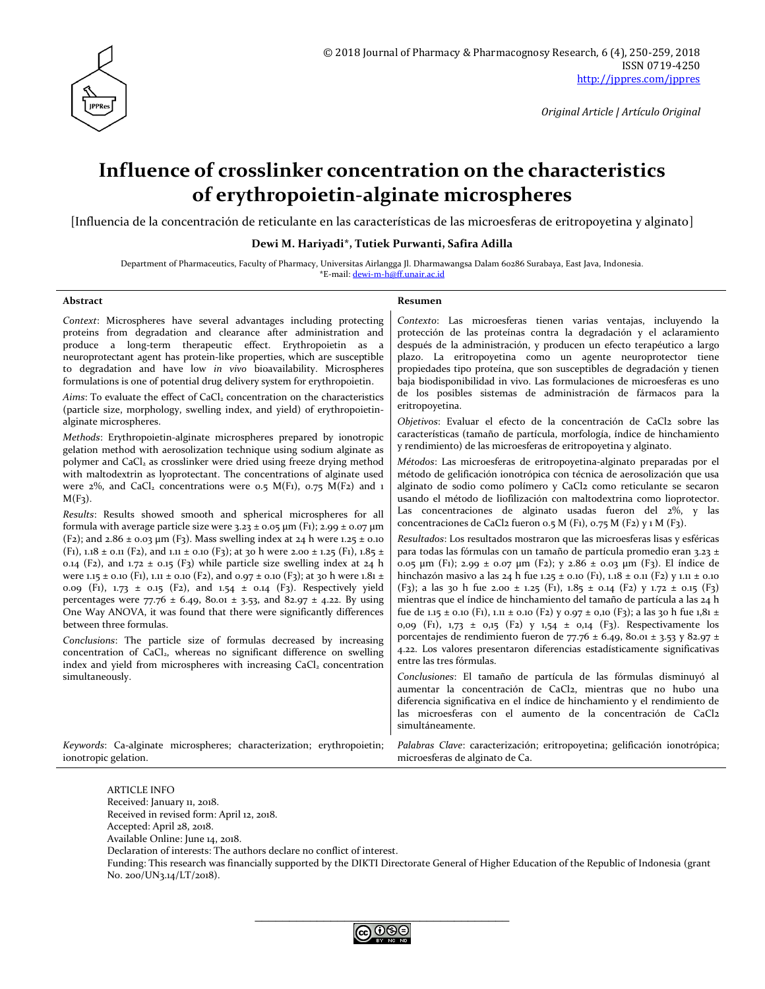

# **Influence of crosslinker concentration on the characteristics of erythropoietin-alginate microspheres**

[Influencia de la concentración de reticulante en las características de las microesferas de eritropoyetina y alginato]

## **Dewi M. Hariyadi\*, Tutiek Purwanti, Safira Adilla**

Department of Pharmaceutics, Faculty of Pharmacy, Universitas Airlangga Jl. Dharmawangsa Dalam 60286 Surabaya, East Java, Indonesia. \*E-mail: [dewi-m-h@ff.unair.ac.id](mailto:dewi-m-h@ff.unair.ac.id)

### **Abstract Resumen**

*Context*: Microspheres have several advantages including protecting proteins from degradation and clearance after administration and produce a long-term therapeutic effect. Erythropoietin as a neuroprotectant agent has protein-like properties, which are susceptible to degradation and have low *in vivo* bioavailability. Microspheres formulations is one of potential drug delivery system for erythropoietin.

Aims: To evaluate the effect of CaCl<sub>2</sub> concentration on the characteristics (particle size, morphology, swelling index, and yield) of erythropoietinalginate microspheres.

*Methods*: Erythropoietin-alginate microspheres prepared by ionotropic gelation method with aerosolization technique using sodium alginate as polymer and CaCl<sub>2</sub> as crosslinker were dried using freeze drying method with maltodextrin as lyoprotectant. The concentrations of alginate used were  $2\%$ , and CaCl<sub>2</sub> concentrations were 0.5 M(F1), 0.75 M(F2) and 1  $M(F_3)$ .

*Results*: Results showed smooth and spherical microspheres for all formula with average particle size were  $3.23 \pm 0.05$   $\mu$ m (F1); 2.99  $\pm$  0.07  $\mu$ m (F2); and 2.86  $\pm$  0.03 µm (F3). Mass swelling index at 24 h were 1.25  $\pm$  0.10 (F1), 1.18  $\pm$  0.11 (F2), and 1.11  $\pm$  0.10 (F3); at 30 h were 2.00  $\pm$  1.25 (F1), 1.85  $\pm$ 0.14 (F2), and 1.72  $\pm$  0.15 (F3) while particle size swelling index at 24 h were 1.15 ± 0.10 (F1), 1.11 ± 0.10 (F2), and 0.97 ± 0.10 (F3); at 30 h were 1.81 ± 0.09 (F1), 1.73 ± 0.15 (F2), and 1.54 ± 0.14 (F3). Respectively yield percentages were  $77.76 \pm 6.49$ ,  $80.01 \pm 3.53$ , and  $82.97 \pm 4.22$ . By using One Way ANOVA, it was found that there were significantly differences between three formulas.

*Conclusions*: The particle size of formulas decreased by increasing concentration of CaCl<sub>2</sub>, whereas no significant difference on swelling index and yield from microspheres with increasing CaCl<sub>2</sub> concentration simultaneously.

*Contexto*: Las microesferas tienen varias ventajas, incluyendo la protección de las proteínas contra la degradación y el aclaramiento después de la administración, y producen un efecto terapéutico a largo plazo. La eritropoyetina como un agente neuroprotector tiene propiedades tipo proteína, que son susceptibles de degradación y tienen baja biodisponibilidad in vivo. Las formulaciones de microesferas es uno de los posibles sistemas de administración de fármacos para la eritropoyetina.

*Objetivos*: Evaluar el efecto de la concentración de CaCl2 sobre las características (tamaño de partícula, morfología, índice de hinchamiento y rendimiento) de las microesferas de eritropoyetina y alginato.

*Métodos*: Las microesferas de eritropoyetina-alginato preparadas por el método de gelificación ionotrópica con técnica de aerosolización que usa alginato de sodio como polímero y CaCl2 como reticulante se secaron usando el método de liofilización con maltodextrina como lioprotector. Las concentraciones de alginato usadas fueron del 2%, y las concentraciones de CaCl2 fueron 0.5 M (F1), 0.75 M (F2) y 1 M (F3).

*Resultados*: Los resultados mostraron que las microesferas lisas y esféricas para todas las fórmulas con un tamaño de partícula promedio eran 3.23 ± 0.05 μm (F1); 2.99 ± 0.07 μm (F2); y 2.86 ± 0.03 μm (F3). El índice de hinchazón masivo a las 24 h fue 1.25 ± 0.10 (F1), 1.18 ± 0.11 (F2) y 1.11 ± 0.10 (F3); a las 30 h fue 2.00 ± 1.25 (F1), 1.85 ± 0.14 (F2) y 1.72 ± 0.15 (F3) mientras que el índice de hinchamiento del tamaño de partícula a las 24 h fue de 1.15 ± 0.10 (F1), 1.11 ± 0.10 (F2) y 0.97 ± 0,10 (F3); a las 30 h fue 1,81 ± 0,09 (F1), 1,73 ± 0,15 (F2) y 1,54 ± 0,14 (F3). Respectivamente los porcentajes de rendimiento fueron de 77.76 ± 6.49, 80.01 ± 3.53 y 82.97 ± 4.22. Los valores presentaron diferencias estadísticamente significativas entre las tres fórmulas.

*Conclusiones*: El tamaño de partícula de las fórmulas disminuyó al aumentar la concentración de CaCl2, mientras que no hubo una diferencia significativa en el índice de hinchamiento y el rendimiento de las microesferas con el aumento de la concentración de CaCl2 simultáneamente.

*Keywords*: Ca-alginate microspheres; characterization; erythropoietin; ionotropic gelation.

*Palabras Clave*: caracterización; eritropoyetina; gelificación ionotrópica; microesferas de alginato de Ca.

ARTICLE INFO Received: January 11, 2018. Received in revised form: April 12, 2018. Accepted: April 28, 2018. Available Online: June 14, 2018. Declaration of interests: The authors declare no conflict of interest. Funding: This research was financially supported by the DIKTI Directorate General of Higher Education of the Republic of Indonesia (grant No. 200/UN3.14/LT/2018).

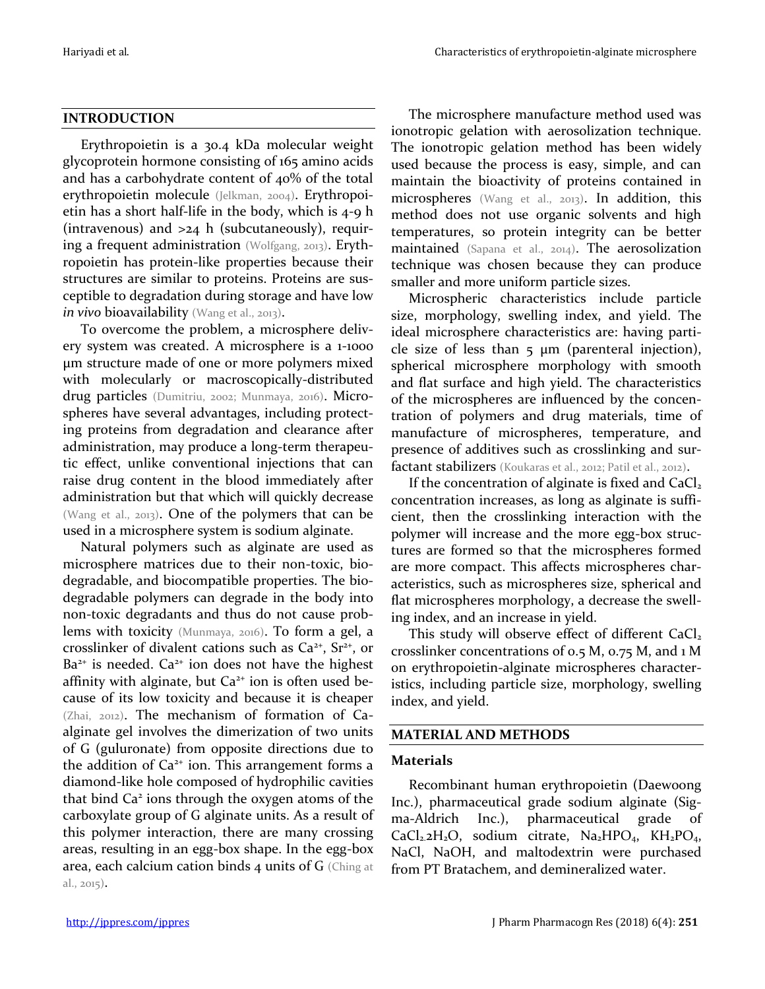# **INTRODUCTION**

Erythropoietin is a 30.4 kDa molecular weight glycoprotein hormone consisting of 165 amino acids and has a carbohydrate content of  $40\%$  of the total erythropoietin molecule (Jelkman, 2004). Erythropoietin has a short half-life in the body, which is 4-9 h (intravenous) and >24 h (subcutaneously), requiring a frequent administration (Wolfgang, 2013). Erythropoietin has protein-like properties because their structures are similar to proteins. Proteins are susceptible to degradation during storage and have low in vivo bioavailability (Wang et al., 2013).

To overcome the problem, a microsphere delivery system was created. A microsphere is a 1-1000 μm structure made of one or more polymers mixed with molecularly or macroscopically-distributed drug particles (Dumitriu, 2002; Munmaya, 2016). Microspheres have several advantages, including protecting proteins from degradation and clearance after administration, may produce a long-term therapeutic effect, unlike conventional injections that can raise drug content in the blood immediately after administration but that which will quickly decrease (Wang et al., 2013). One of the polymers that can be used in a microsphere system is sodium alginate.

Natural polymers such as alginate are used as microsphere matrices due to their non-toxic, biodegradable, and biocompatible properties. The biodegradable polymers can degrade in the body into non-toxic degradants and thus do not cause problems with toxicity (Munmaya, 2016). To form a gel, a crosslinker of divalent cations such as  $Ca^{2+}$ ,  $Sr^{2+}$ , or  $Ba<sup>2+</sup>$  is needed.  $Ca<sup>2+</sup>$  ion does not have the highest affinity with alginate, but  $Ca<sup>2+</sup>$  ion is often used because of its low toxicity and because it is cheaper (Zhai, 2012). The mechanism of formation of Caalginate gel involves the dimerization of two units of G (guluronate) from opposite directions due to the addition of  $Ca<sup>2+</sup>$  ion. This arrangement forms a diamond-like hole composed of hydrophilic cavities that bind Ca<sup>2</sup> ions through the oxygen atoms of the carboxylate group of G alginate units. As a result of this polymer interaction, there are many crossing areas, resulting in an egg-box shape. In the egg-box area, each calcium cation binds 4 units of G (Ching at al., 2015).

The microsphere manufacture method used was ionotropic gelation with aerosolization technique. The ionotropic gelation method has been widely used because the process is easy, simple, and can maintain the bioactivity of proteins contained in microspheres (Wang et al., 2013). In addition, this method does not use organic solvents and high temperatures, so protein integrity can be better maintained (Sapana et al., 2014). The aerosolization technique was chosen because they can produce smaller and more uniform particle sizes.

Microspheric characteristics include particle size, morphology, swelling index, and yield. The ideal microsphere characteristics are: having particle size of less than  $5 \mu m$  (parenteral injection), spherical microsphere morphology with smooth and flat surface and high yield. The characteristics of the microspheres are influenced by the concentration of polymers and drug materials, time of manufacture of microspheres, temperature, and presence of additives such as crosslinking and surfactant stabilizers (Koukaras et al., 2012; Patil et al., 2012).

If the concentration of alginate is fixed and  $CaCl<sub>2</sub>$ concentration increases, as long as alginate is sufficient, then the crosslinking interaction with the polymer will increase and the more egg-box structures are formed so that the microspheres formed are more compact. This affects microspheres characteristics, such as microspheres size, spherical and flat microspheres morphology, a decrease the swelling index, and an increase in yield.

This study will observe effect of different  $CaCl<sub>2</sub>$ crosslinker concentrations of 0.5 M, 0.75 M, and 1 M on erythropoietin-alginate microspheres characteristics, including particle size, morphology, swelling index, and yield.

# **MATERIAL AND METHODS**

# **Materials**

Recombinant human erythropoietin (Daewoong Inc.), pharmaceutical grade sodium alginate (Sigma-Aldrich Inc.), pharmaceutical grade of  $CaCl<sub>2</sub>2H<sub>2</sub>O$ , sodium citrate, Na<sub>2</sub>HPO<sub>4</sub>, KH<sub>2</sub>PO<sub>4</sub>, NaCl, NaOH, and maltodextrin were purchased from PT Bratachem, and demineralized water.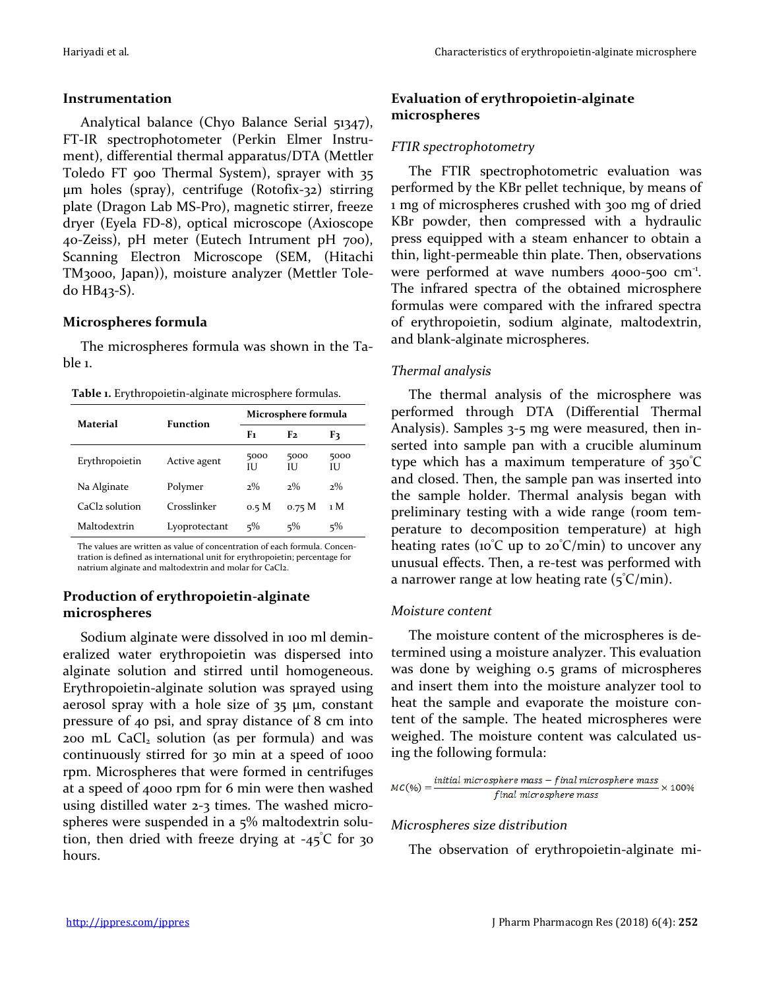# **Instrumentation**

Analytical balance (Chyo Balance Serial 51347), FT-IR spectrophotometer (Perkin Elmer Instrument), differential thermal apparatus/DTA (Mettler Toledo FT 900 Thermal System), sprayer with 35 μm holes (spray), centrifuge (Rotofix-32) stirring plate (Dragon Lab MS-Pro), magnetic stirrer, freeze dryer (Eyela FD-8), optical microscope (Axioscope 40-Zeiss), pH meter (Eutech Intrument pH 700), Scanning Electron Microscope (SEM, (Hitachi TM3000, Japan)), moisture analyzer (Mettler Toledo HB43-S).

# **Microspheres formula**

The microspheres formula was shown in the Table 1.

**Table 1.** Erythropoietin-alginate microsphere formulas.

| Material       | Function      | Microsphere formula |                   |           |
|----------------|---------------|---------------------|-------------------|-----------|
|                |               | F1                  | F2                | F3        |
| Erythropoietin | Active agent  | 5000<br>Ю           | 5000<br>Ш         | 5000<br>Ю |
| Na Alginate    | Polymer       | $2\%$               | $2\%$             | $2\%$     |
| CaCl2 solution | Crosslinker   | 0.5 M               | 0.75 <sub>M</sub> | 1 M       |
| Maltodextrin   | Lyoprotectant | $5\%$               | $5\%$             | $5\%$     |

The values are written as value of concentration of each formula. Concentration is defined as international unit for erythropoietin; percentage for natrium alginate and maltodextrin and molar for CaCl2.

# **Production of erythropoietin-alginate microspheres**

Sodium alginate were dissolved in 100 ml demineralized water erythropoietin was dispersed into alginate solution and stirred until homogeneous. Erythropoietin-alginate solution was sprayed using aerosol spray with a hole size of 35 μm, constant pressure of 40 psi, and spray distance of 8 cm into 200 mL CaCl<sub>2</sub> solution (as per formula) and was continuously stirred for 30 min at a speed of 1000 rpm. Microspheres that were formed in centrifuges at a speed of 4000 rpm for 6 min were then washed using distilled water 2-3 times. The washed microspheres were suspended in a 5% maltodextrin solution, then dried with freeze drying at  $-45^{\circ}$ C for 30 hours.

# **Evaluation of erythropoietin-alginate microspheres**

# *FTIR spectrophotometry*

The FTIR spectrophotometric evaluation was performed by the KBr pellet technique, by means of 1 mg of microspheres crushed with 300 mg of dried KBr powder, then compressed with a hydraulic press equipped with a steam enhancer to obtain a thin, light-permeable thin plate. Then, observations were performed at wave numbers 4000-500 cm<sup>-1</sup>. The infrared spectra of the obtained microsphere formulas were compared with the infrared spectra of erythropoietin, sodium alginate, maltodextrin, and blank-alginate microspheres.

# *Thermal analysis*

The thermal analysis of the microsphere was performed through DTA (Differential Thermal Analysis). Samples 3-5 mg were measured, then inserted into sample pan with a crucible aluminum type which has a maximum temperature of 350°C and closed. Then, the sample pan was inserted into the sample holder. Thermal analysis began with preliminary testing with a wide range (room temperature to decomposition temperature) at high heating rates ( $10^{\circ}$ C up to  $20^{\circ}$ C/min) to uncover any unusual effects. Then, a re-test was performed with a narrower range at low heating rate  $(5^{\circ}C/\text{min})$ .

# *Moisture content*

The moisture content of the microspheres is determined using a moisture analyzer. This evaluation was done by weighing 0.5 grams of microspheres and insert them into the moisture analyzer tool to heat the sample and evaporate the moisture content of the sample. The heated microspheres were weighed. The moisture content was calculated using the following formula:

$$
MC(\%) = \frac{initial\ microsphere\ mass - final\ microsphere\ mass}{final\ microsphere\ mass} \times 100\%
$$

# *Microspheres size distribution*

The observation of erythropoietin-alginate mi-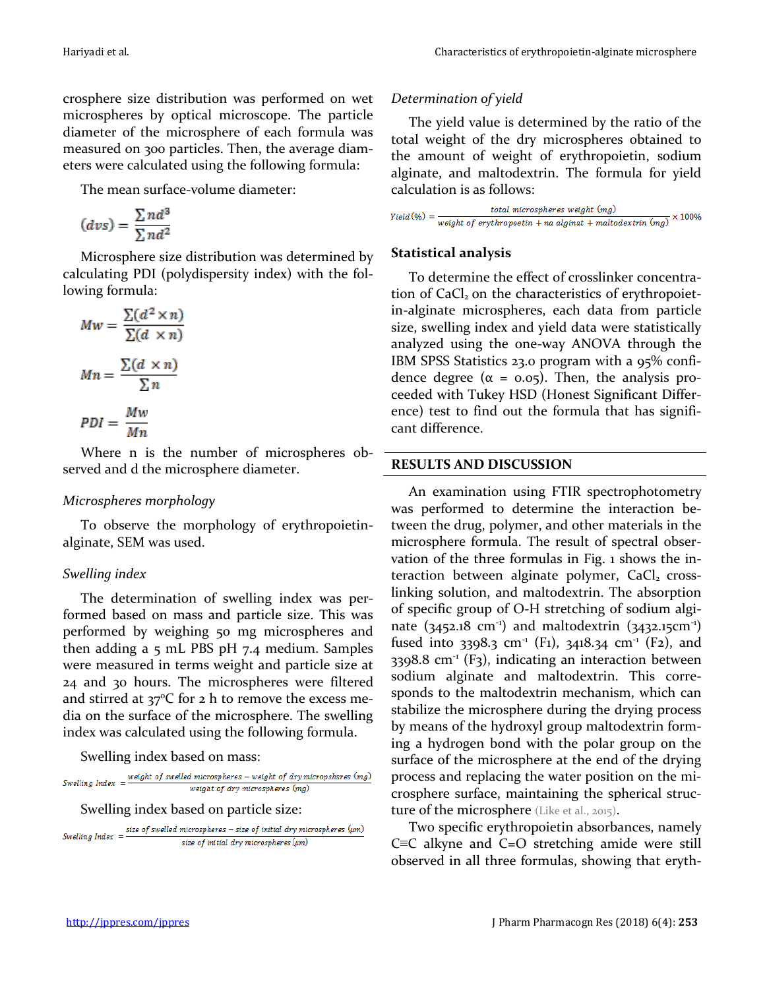crosphere size distribution was performed on wet microspheres by optical microscope. The particle diameter of the microsphere of each formula was measured on 300 particles. Then, the average diameters were calculated using the following formula:

The mean surface-volume diameter:

$$
(dvs) = \frac{\sum nd^3}{\sum nd^2}
$$

Microsphere size distribution was determined by calculating PDI (polydispersity index) with the following formula:

$$
Mw = \frac{\sum (d^2 \times n)}{\sum (d \times n)}
$$

$$
Mn = \frac{\sum (d \times n)}{\sum n}
$$

$$
PDI = \frac{Mw}{Mn}
$$

Where n is the number of microspheres observed and d the microsphere diameter.

# *Microspheres morphology*

To observe the morphology of erythropoietinalginate, SEM was used.

# *Swelling index*

The determination of swelling index was performed based on mass and particle size. This was performed by weighing 50 mg microspheres and then adding a 5 mL PBS pH 7.4 medium. Samples were measured in terms weight and particle size at 24 and 30 hours. The microspheres were filtered and stirred at  $37^{\circ}$ C for 2 h to remove the excess media on the surface of the microsphere. The swelling index was calculated using the following formula.

Swelling index based on mass:<br>  $Swelling\; index = \frac{weight\; of\; swelled\; micropheres - weight\; of\; dry\; micropshsres\; (mg)}$ weight of dry microspheres (mg)

Swelling index based on particle size:

Swelling Index = 
$$
\frac{size\ of\ swelled\ microspheres - size\ of\ initial\ dry\ microspheres\ (µm)}{size\ of\ initial\ dry\ microspheres\ (µm)}
$$

# *Determination of yield*

The yield value is determined by the ratio of the total weight of the dry microspheres obtained to the amount of weight of erythropoietin, sodium alginate, and maltodextrin. The formula for yield calculation is as follows:

total microspheres weight (mg)  $Yield (%) = \frac{total$  metrospies is weight  $\langle mg \rangle \times 100\%$ 

# **Statistical analysis**

To determine the effect of crosslinker concentration of  $CaCl<sub>2</sub>$  on the characteristics of erythropoietin-alginate microspheres, each data from particle size, swelling index and yield data were statistically analyzed using the one-way ANOVA through the IBM SPSS Statistics 23.0 program with a 95% confidence degree ( $\alpha = 0.05$ ). Then, the analysis proceeded with Tukey HSD (Honest Significant Difference) test to find out the formula that has significant difference.

# **RESULTS AND DISCUSSION**

An examination using FTIR spectrophotometry was performed to determine the interaction between the drug, polymer, and other materials in the microsphere formula. The result of spectral observation of the three formulas in Fig. 1 shows the interaction between alginate polymer,  $CaCl<sub>2</sub>$  crosslinking solution, and maltodextrin. The absorption of specific group of O-H stretching of sodium alginate  $(3452.18 \text{ cm}^3)$  and maltodextrin  $(3432.15 \text{ cm}^3)$ fused into 3398.3 cm<sup>-1</sup> (F1), 3418.34 cm<sup>-1</sup> (F2), and  $3398.8$  cm<sup>-1</sup> (F<sub>3</sub>), indicating an interaction between sodium alginate and maltodextrin. This corresponds to the maltodextrin mechanism, which can stabilize the microsphere during the drying process by means of the hydroxyl group maltodextrin forming a hydrogen bond with the polar group on the surface of the microsphere at the end of the drying process and replacing the water position on the microsphere surface, maintaining the spherical structure of the microsphere (Like et al., 2015).

Two specific erythropoietin absorbances, namely C≡C alkyne and C=O stretching amide were still observed in all three formulas, showing that eryth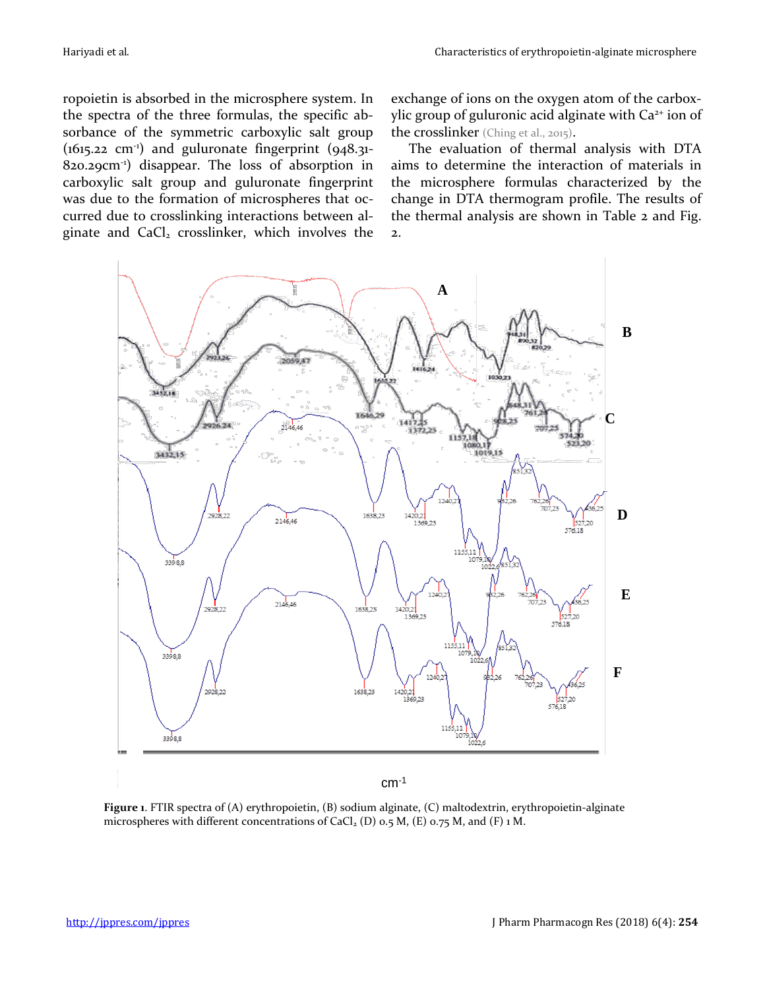ropoietin is absorbed in the microsphere system. In the spectra of the three formulas, the specific absorbance of the symmetric carboxylic salt group  $(1615.22 \text{ cm}^3)$  and guluronate fingerprint  $(948.31 -$ 820.29cm-1 ) disappear. The loss of absorption in carboxylic salt group and guluronate fingerprint was due to the formation of microspheres that occurred due to crosslinking interactions between alginate and CaCl<sub>2</sub> crosslinker, which involves the

exchange of ions on the oxygen atom of the carboxylic group of guluronic acid alginate with Ca<sup>2+</sup> ion of the crosslinker (Ching et al., 2015).

The evaluation of thermal analysis with DTA aims to determine the interaction of materials in the microsphere formulas characterized by the change in DTA thermogram profile. The results of the thermal analysis are shown in Table 2 and Fig. 2.



cm-1

**Figure 1**. FTIR spectra of (A) erythropoietin, (B) sodium alginate, (C) maltodextrin, erythropoietin-alginate microspheres with different concentrations of  $CaCl<sub>2</sub>$  (D) 0.5 M, (E) 0.75 M, and (F) 1 M.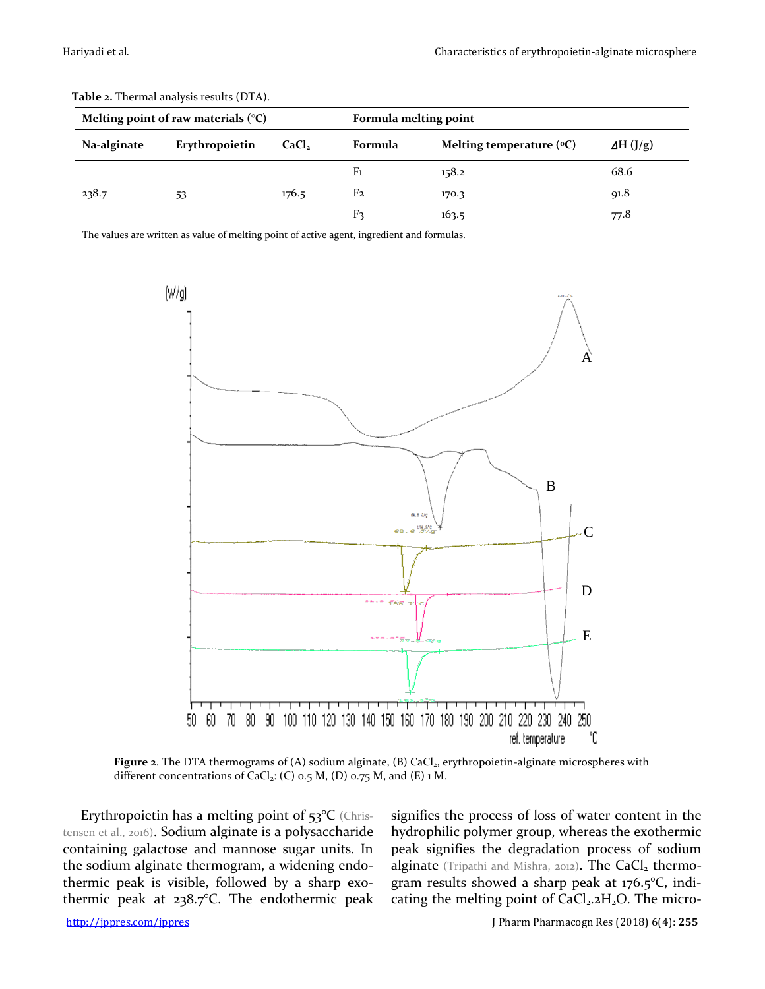|             | Melting point of raw materials $(°C)$ |                   | Formula melting point |                                     |                  |
|-------------|---------------------------------------|-------------------|-----------------------|-------------------------------------|------------------|
| Na-alginate | Erythropoietin                        | CaCl <sub>2</sub> | Formula               | Melting temperature $({}^{\circ}C)$ | $\Delta H$ (J/g) |
|             |                                       |                   | F <sub>1</sub>        | 158.2                               | 68.6             |
| 238.7       | 53                                    | 176.5             | F <sub>2</sub>        | 170.3                               | 91.8             |
|             |                                       |                   | F3                    | 163.5                               | 77.8             |

**Table 2.** Thermal analysis results (DTA).

The values are written as value of melting point of active agent, ingredient and formulas.



Figure 2. The DTA thermograms of (A) sodium alginate, (B) CaCl<sub>2</sub>, erythropoietin-alginate microspheres with different concentrations of CaCl<sub>2</sub>: (C)  $o.5$  M, (D)  $o.75$  M, and (E)  $1$  M.

Erythropoietin has a melting point of 53°C (Christensen et al., 2016). Sodium alginate is a polysaccharide containing galactose and mannose sugar units. In the sodium alginate thermogram, a widening endothermic peak is visible, followed by a sharp exothermic peak at 238.7°C. The endothermic peak signifies the process of loss of water content in the hydrophilic polymer group, whereas the exothermic peak signifies the degradation process of sodium alginate (Tripathi and Mishra, 2012). The CaCl<sub>2</sub> thermogram results showed a sharp peak at 176.5°C, indicating the melting point of  $CaCl<sub>2</sub>2H<sub>2</sub>O$ . The micro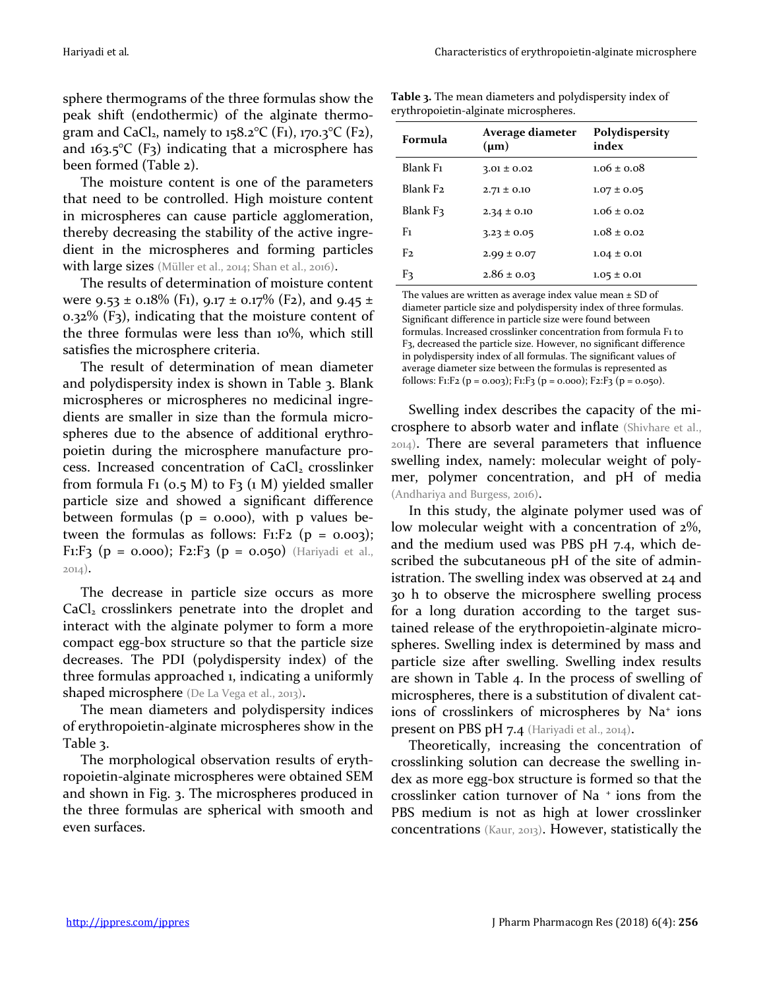sphere thermograms of the three formulas show the peak shift (endothermic) of the alginate thermogram and CaCl<sub>2</sub>, namely to 158.2°C (F1), 170.3°C (F2), and  $163.5^{\circ}C$  (F<sub>3</sub>) indicating that a microsphere has been formed (Table 2).

The moisture content is one of the parameters that need to be controlled. High moisture content in microspheres can cause particle agglomeration, thereby decreasing the stability of the active ingredient in the microspheres and forming particles with large sizes (Müller et al., 2014; Shan et al., 2016).

The results of determination of moisture content were 9.53 ± 0.18% (F1), 9.17 ± 0.17% (F2), and 9.45 ± 0.32% (F3), indicating that the moisture content of the three formulas were less than 10%, which still satisfies the microsphere criteria.

The result of determination of mean diameter and polydispersity index is shown in Table 3. Blank microspheres or microspheres no medicinal ingredients are smaller in size than the formula microspheres due to the absence of additional erythropoietin during the microsphere manufacture process. Increased concentration of CaCl<sub>2</sub> crosslinker from formula F<sub>1</sub> ( $o.5$  M) to F<sub>3</sub> ( $1$  M) yielded smaller particle size and showed a significant difference between formulas ( $p = 0.000$ ), with p values between the formulas as follows: F<sub>1</sub>:F<sub>2</sub> ( $p = 0.003$ ); F1:F3 ( $p = 0.000$ ); F2:F3 ( $p = 0.050$ ) (Hariyadi et al., 2014).

The decrease in particle size occurs as more CaCl<sub>2</sub> crosslinkers penetrate into the droplet and interact with the alginate polymer to form a more compact egg-box structure so that the particle size decreases. The PDI (polydispersity index) of the three formulas approached 1, indicating a uniformly shaped microsphere (De La Vega et al., 2013).

The mean diameters and polydispersity indices of erythropoietin-alginate microspheres show in the Table 3.

The morphological observation results of erythropoietin-alginate microspheres were obtained SEM and shown in Fig. 3. The microspheres produced in the three formulas are spherical with smooth and even surfaces.

**Table 3.** The mean diameters and polydispersity index of erythropoietin-alginate microspheres.

| Formula              | Average diameter<br>$(\mu m)$ | Polydispersity<br>index |
|----------------------|-------------------------------|-------------------------|
| Blank F <sub>1</sub> | $3.01 \pm 0.02$               | $1.06 \pm 0.08$         |
| Blank F <sub>2</sub> | $2.71 \pm 0.10$               | $1.07 \pm 0.05$         |
| Blank F3             | $2.34 \pm 0.10$               | $1.06 \pm 0.02$         |
| Fı                   | $3.23 \pm 0.05$               | $1.08 \pm 0.02$         |
| F2                   | $2.99 \pm 0.07$               | $1.04 \pm 0.01$         |
| Fз                   | $2.86 \pm 0.03$               | $1.05 \pm 0.01$         |

The values are written as average index value mean  $\pm$  SD of diameter particle size and polydispersity index of three formulas. Significant difference in particle size were found between formulas. Increased crosslinker concentration from formula F1 to F3, decreased the particle size. However, no significant difference in polydispersity index of all formulas. The significant values of average diameter size between the formulas is represented as follows: F1:F2 (p = 0.003); F1:F3 (p = 0.000); F2:F3 (p = 0.050).

Swelling index describes the capacity of the microsphere to absorb water and inflate (Shivhare et al., 2014). There are several parameters that influence swelling index, namely: molecular weight of polymer, polymer concentration, and pH of media (Andhariya and Burgess, 2016).

In this study, the alginate polymer used was of low molecular weight with a concentration of 2%, and the medium used was PBS pH 7.4, which described the subcutaneous pH of the site of administration. The swelling index was observed at 24 and 30 h to observe the microsphere swelling process for a long duration according to the target sustained release of the erythropoietin-alginate microspheres. Swelling index is determined by mass and particle size after swelling. Swelling index results are shown in Table 4. In the process of swelling of microspheres, there is a substitution of divalent cations of crosslinkers of microspheres by Na<sup>+</sup> ions present on PBS pH 7.4 (Hariyadi et al., 2014).

Theoretically, increasing the concentration of crosslinking solution can decrease the swelling index as more egg-box structure is formed so that the crosslinker cation turnover of Na <sup>+</sup>ions from the PBS medium is not as high at lower crosslinker concentrations (Kaur, 2013). However, statistically the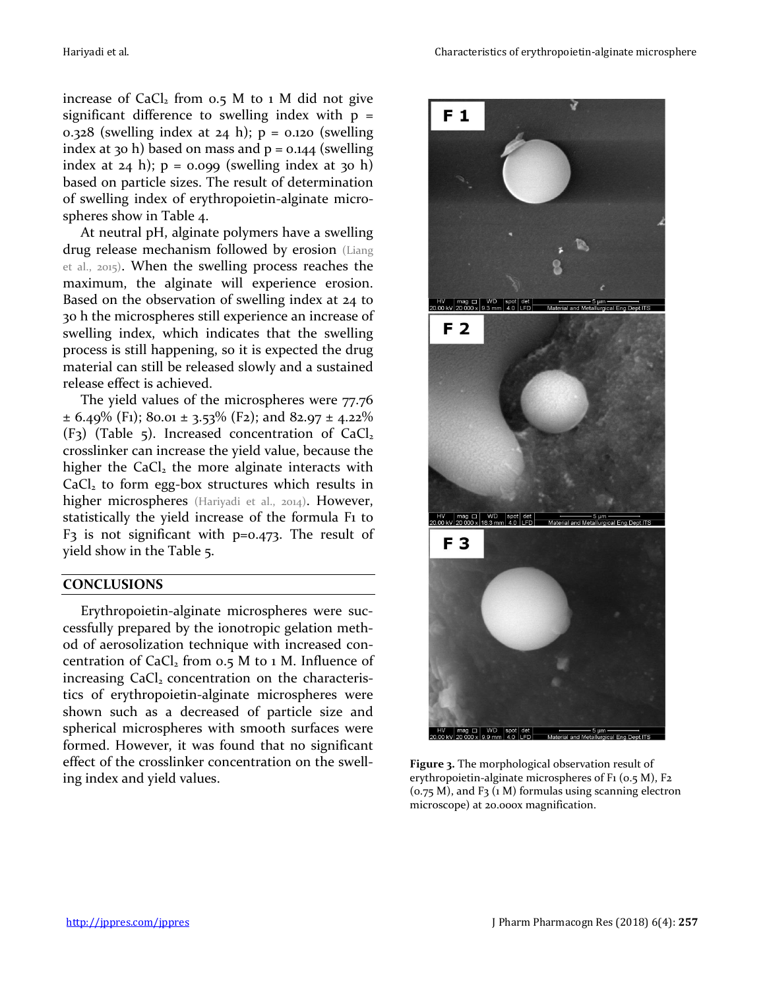increase of  $CaCl<sub>2</sub>$  from 0.5 M to 1 M did not give significant difference to swelling index with  $p =$ 0.328 (swelling index at 24 h);  $p = 0.120$  (swelling index at 30 h) based on mass and  $p = 0.144$  (swelling index at  $24$  h);  $p = 0.099$  (swelling index at  $30$  h) based on particle sizes. The result of determination of swelling index of erythropoietin-alginate microspheres show in Table 4.

At neutral pH, alginate polymers have a swelling drug release mechanism followed by erosion (Liang et al., 2015). When the swelling process reaches the maximum, the alginate will experience erosion. Based on the observation of swelling index at 24 to 30 h the microspheres still experience an increase of swelling index, which indicates that the swelling process is still happening, so it is expected the drug material can still be released slowly and a sustained release effect is achieved.

The yield values of the microspheres were 77.76  $\pm$  6.49% (F<sub>1</sub>); 80.01  $\pm$  3.53% (F<sub>2</sub>); and 82.97  $\pm$  4.22%  $(F<sub>3</sub>)$  (Table 5). Increased concentration of CaCl<sub>2</sub> crosslinker can increase the yield value, because the higher the  $CaCl<sub>2</sub>$  the more alginate interacts with  $CaCl<sub>2</sub>$  to form egg-box structures which results in higher microspheres (Hariyadi et al., 2014). However, statistically the yield increase of the formula F1 to  $F_3$  is not significant with p=0.473. The result of yield show in the Table 5.

# **CONCLUSIONS**

Erythropoietin-alginate microspheres were successfully prepared by the ionotropic gelation method of aerosolization technique with increased concentration of  $CaCl<sub>2</sub>$  from 0.5 M to 1 M. Influence of increasing  $CaCl<sub>2</sub>$  concentration on the characteristics of erythropoietin-alginate microspheres were shown such as a decreased of particle size and spherical microspheres with smooth surfaces were formed. However, it was found that no significant effect of the crosslinker concentration on the swelling index and yield values.



**Figure 3.** The morphological observation result of erythropoietin-alginate microspheres of F1 (0.5 M), F2  $(0.75 M)$ , and F<sub>3</sub>  $(1 M)$  formulas using scanning electron microscope) at 20.000x magnification.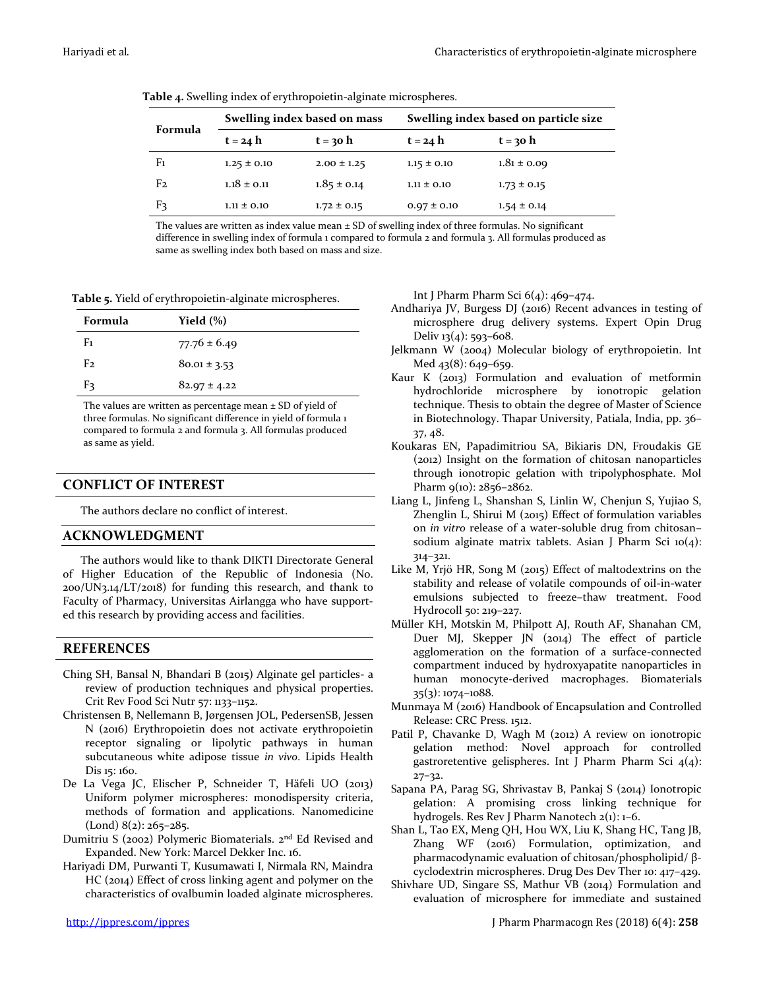| Formula        | Swelling index based on mass |                 | Swelling index based on particle size |                 |  |
|----------------|------------------------------|-----------------|---------------------------------------|-----------------|--|
|                | $t = 24 h$                   | $t = 30$ h      | $t = 24 h$                            | $t = 30 h$      |  |
| F <sub>1</sub> | $1.25 \pm 0.10$              | $2.00 \pm 1.25$ | $1.15 \pm 0.10$                       | $1.81 \pm 0.09$ |  |
| F <sub>2</sub> | $1.18 \pm 0.11$              | $1.85 \pm 0.14$ | $1.11 \pm 0.10$                       | $1.73 \pm 0.15$ |  |
| F3             | $1.11 \pm 0.10$              | $1.72 \pm 0.15$ | $0.97 \pm 0.10$                       | $1.54 \pm 0.14$ |  |

**Table 4.** Swelling index of erythropoietin-alginate microspheres.

The values are written as index value mean  $\pm$  SD of swelling index of three formulas. No significant difference in swelling index of formula 1 compared to formula 2 and formula 3. All formulas produced as same as swelling index both based on mass and size.

**Table 5.** Yield of erythropoietin-alginate microspheres.

| Formula | Yield $(\%)$     |
|---------|------------------|
| F1      | $77.76 \pm 6.49$ |
| F2.     | $80.01 \pm 3.53$ |
| F٦      | $82.97 \pm 4.22$ |

The values are written as percentage mean  $\pm$  SD of yield of three formulas. No significant difference in yield of formula 1 compared to formula 2 and formula 3. All formulas produced as same as yield.

# **CONFLICT OF INTEREST**

The authors declare no conflict of interest.

## **ACKNOWLEDGMENT**

The authors would like to thank DIKTI Directorate General of Higher Education of the Republic of Indonesia (No. 200/UN3.14/LT/2018) for funding this research, and thank to Faculty of Pharmacy, Universitas Airlangga who have supported this research by providing access and facilities.

# **REFERENCES**

- Ching SH, Bansal N, Bhandari B (2015) Alginate gel particles- a review of production techniques and physical properties. Crit Rev Food Sci Nutr 57: 1133–1152.
- Christensen B, Nellemann B, Jørgensen JOL, PedersenSB, Jessen N (2016) Erythropoietin does not activate erythropoietin receptor signaling or lipolytic pathways in human subcutaneous white adipose tissue *in vivo*. Lipids Health Dis 15: 160.
- De La Vega JC, Elischer P, Schneider T, Häfeli UO (2013) Uniform polymer microspheres: monodispersity criteria, methods of formation and applications. Nanomedicine  $(Lond) 8(2): 265 - 285.$
- Dumitriu S (2002) Polymeric Biomaterials. 2nd Ed Revised and Expanded. New York: Marcel Dekker Inc. 16.
- Hariyadi DM, Purwanti T, Kusumawati I, Nirmala RN, Maindra HC (2014) Effect of cross linking agent and polymer on the characteristics of ovalbumin loaded alginate microspheres.

Int J Pharm Pharm Sci 6(4): 469–474.

- Andhariya JV, Burgess DJ (2016) Recent advances in testing of microsphere drug delivery systems. Expert Opin Drug Deliv  $13(4)$ : 593-608.
- Jelkmann W (2004) Molecular biology of erythropoietin. Int Med 43(8): 649-659.
- Kaur K (2013) Formulation and evaluation of metformin hydrochloride microsphere by ionotropic gelation technique. Thesis to obtain the degree of Master of Science in Biotechnology. Thapar University, Patiala, India, pp. 36– 37, 48.
- Koukaras EN, Papadimitriou SA, Bikiaris DN, Froudakis GE (2012) Insight on the formation of chitosan nanoparticles through ionotropic gelation with tripolyphosphate. Mol Pharm 9(10): 2856-2862.
- Liang L, Jinfeng L, Shanshan S, Linlin W, Chenjun S, Yujiao S, Zhenglin L, Shirui M (2015) Effect of formulation variables on *in vitro* release of a water-soluble drug from chitosan– sodium alginate matrix tablets. Asian J Pharm Sci 10(4): 314–321.
- Like M, Yrjö HR, Song M (2015) Effect of maltodextrins on the stability and release of volatile compounds of oil-in-water emulsions subjected to freeze–thaw treatment. Food Hydrocoll 50: 219–227.
- Müller KH, Motskin M, Philpott AJ, Routh AF, Shanahan CM, Duer MJ, Skepper JN (2014) The effect of particle agglomeration on the formation of a surface-connected compartment induced by hydroxyapatite nanoparticles in human monocyte-derived macrophages. Biomaterials 35(3): 1074–1088.
- Munmaya M (2016) Handbook of Encapsulation and Controlled Release: CRC Press. 1512.
- Patil P, Chavanke D, Wagh M (2012) A review on ionotropic gelation method: Novel approach for controlled gastroretentive gelispheres. Int J Pharm Pharm Sci 4(4): 27–32.
- Sapana PA, Parag SG, Shrivastav B, Pankaj S (2014) Ionotropic gelation: A promising cross linking technique for hydrogels. Res Rev J Pharm Nanotech 2(1): 1–6.
- Shan L, Tao EX, Meng QH, Hou WX, Liu K, Shang HC, Tang JB, Zhang WF (2016) Formulation, optimization, and pharmacodynamic evaluation of chitosan/phospholipid/ βcyclodextrin microspheres. Drug Des Dev Ther 10: 417–429.
- Shivhare UD, Singare SS, Mathur VB (2014) Formulation and evaluation of microsphere for immediate and sustained

<http://jppres.com/jppres>\_**net\_inftyprester\_inftyprester\_inftypres** J Pharm Pharmacogn Res (2018) 6(4): **258**